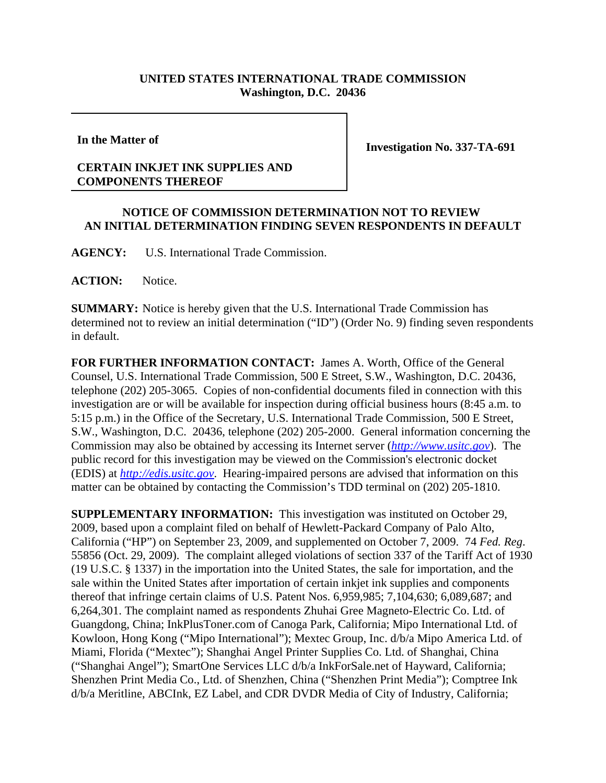## **UNITED STATES INTERNATIONAL TRADE COMMISSION Washington, D.C. 20436**

**In the Matter of**

**Investigation No. 337-TA-691**

## **CERTAIN INKJET INK SUPPLIES AND COMPONENTS THEREOF**

## **NOTICE OF COMMISSION DETERMINATION NOT TO REVIEW AN INITIAL DETERMINATION FINDING SEVEN RESPONDENTS IN DEFAULT**

**AGENCY:** U.S. International Trade Commission.

**ACTION:** Notice.

**SUMMARY:** Notice is hereby given that the U.S. International Trade Commission has determined not to review an initial determination ("ID") (Order No. 9) finding seven respondents in default.

**FOR FURTHER INFORMATION CONTACT:** James A. Worth, Office of the General Counsel, U.S. International Trade Commission, 500 E Street, S.W., Washington, D.C. 20436, telephone (202) 205-3065. Copies of non-confidential documents filed in connection with this investigation are or will be available for inspection during official business hours (8:45 a.m. to 5:15 p.m.) in the Office of the Secretary, U.S. International Trade Commission, 500 E Street, S.W., Washington, D.C. 20436, telephone (202) 205-2000. General information concerning the Commission may also be obtained by accessing its Internet server (*http://www.usitc.gov*). The public record for this investigation may be viewed on the Commission's electronic docket (EDIS) at *http://edis.usitc.gov*. Hearing-impaired persons are advised that information on this matter can be obtained by contacting the Commission's TDD terminal on (202) 205-1810.

**SUPPLEMENTARY INFORMATION:** This investigation was instituted on October 29, 2009, based upon a complaint filed on behalf of Hewlett-Packard Company of Palo Alto, California ("HP") on September 23, 2009, and supplemented on October 7, 2009. 74 *Fed. Reg*. 55856 (Oct. 29, 2009). The complaint alleged violations of section 337 of the Tariff Act of 1930 (19 U.S.C. § 1337) in the importation into the United States, the sale for importation, and the sale within the United States after importation of certain inkjet ink supplies and components thereof that infringe certain claims of U.S. Patent Nos. 6,959,985; 7,104,630; 6,089,687; and 6,264,301. The complaint named as respondents Zhuhai Gree Magneto-Electric Co. Ltd. of Guangdong, China; InkPlusToner.com of Canoga Park, California; Mipo International Ltd. of Kowloon, Hong Kong ("Mipo International"); Mextec Group, Inc. d/b/a Mipo America Ltd. of Miami, Florida ("Mextec"); Shanghai Angel Printer Supplies Co. Ltd. of Shanghai, China ("Shanghai Angel"); SmartOne Services LLC d/b/a InkForSale.net of Hayward, California; Shenzhen Print Media Co., Ltd. of Shenzhen, China ("Shenzhen Print Media"); Comptree Ink d/b/a Meritline, ABCInk, EZ Label, and CDR DVDR Media of City of Industry, California;